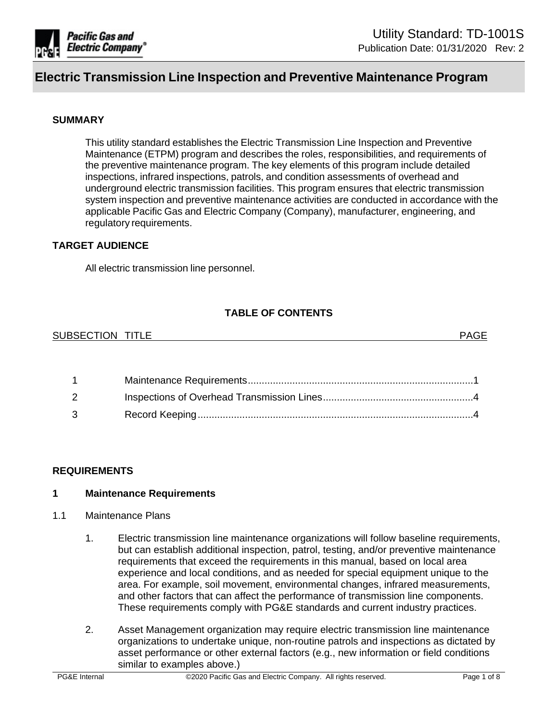

## **SUMMARY**

This utility standard establishes the Electric Transmission Line Inspection and Preventive Maintenance (ETPM) program and describes the roles, responsibilities, and requirements of the preventive maintenance program. The key elements of this program include detailed inspections, infrared inspections, patrols, and condition assessments of overhead and underground electric transmission facilities. This program ensures that electric transmission system inspection and preventive maintenance activities are conducted in accordance with the applicable Pacific Gas and Electric Company (Company), manufacturer, engineering, and regulatory requirements.

#### **TARGET AUDIENCE**

All electric transmission line personnel.

## **TABLE OF CONTENTS**

| <b>SUBSECTION</b><br><b>TITLE</b> | <b>DA</b> |
|-----------------------------------|-----------|
|-----------------------------------|-----------|

| $2 \left( \frac{1}{2} \right)$ |  |
|--------------------------------|--|
| $\mathbf{3}$ and $\mathbf{3}$  |  |

#### **REQUIREMENTS**

#### <span id="page-0-0"></span>**1 Maintenance Requirements**

#### 1.1 Maintenance Plans

- 1. Electric transmission line maintenance organizations will follow baseline requirements, but can establish additional inspection, patrol, testing, and/or preventive maintenance requirements that exceed the requirements in this manual, based on local area experience and local conditions, and as needed for special equipment unique to the area. For example, soil movement, environmental changes, infrared measurements, and other factors that can affect the performance of transmission line components. These requirements comply with PG&E standards and current industry practices.
- 2. Asset Management organization may require electric transmission line maintenance organizations to undertake unique, non-routine patrols and inspections as dictated by asset performance or other external factors (e.g., new information or field conditions similar to examples above.)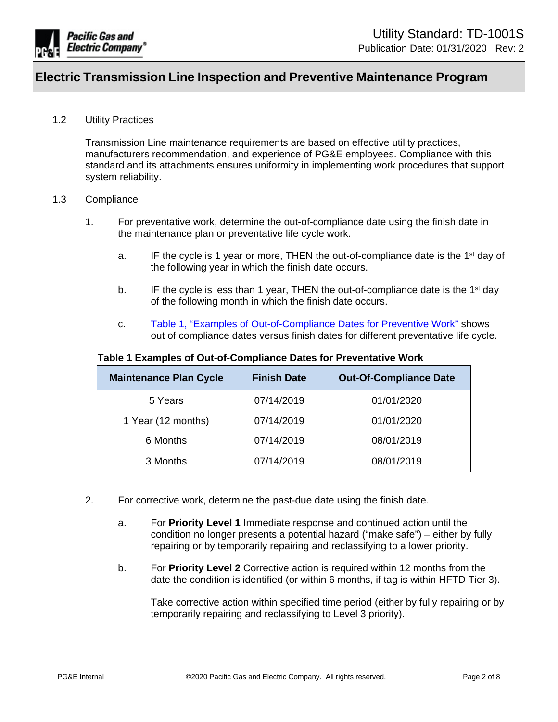

## 1.2 Utility Practices

Transmission Line maintenance requirements are based on effective utility practices, manufacturers recommendation, and experience of PG&E employees. Compliance with this standard and its attachments ensures uniformity in implementing work procedures that support system reliability.

#### 1.3 Compliance

- 1. For preventative work, determine the out-of-compliance date using the finish date in the maintenance plan or preventative life cycle work.
	- a. IF the cycle is 1 year or more, THEN the out-of-compliance date is the 1<sup>st</sup> day of the following year in which the finish date occurs.
	- b. IF the cycle is less than 1 year, THEN the out-of-compliance date is the 1<sup>st</sup> day of the following month in which the finish date occurs.
	- c. [Table 1, "Examples of Out-of-Compliance Dates for Preventive Work"](#page-1-0) shows out of compliance dates versus finish dates for different preventative life cycle.

| <b>Maintenance Plan Cycle</b> | <b>Finish Date</b> | <b>Out-Of-Compliance Date</b> |
|-------------------------------|--------------------|-------------------------------|
| 5 Years                       | 07/14/2019         | 01/01/2020                    |
| 1 Year (12 months)            | 07/14/2019         | 01/01/2020                    |
| 6 Months                      | 07/14/2019         | 08/01/2019                    |
| 3 Months                      | 07/14/2019         | 08/01/2019                    |

## <span id="page-1-0"></span>**Table 1 Examples of Out-of-Compliance Dates for Preventative Work**

- 2. For corrective work, determine the past-due date using the finish date.
	- a. For **Priority Level 1** Immediate response and continued action until the condition no longer presents a potential hazard ("make safe") – either by fully repairing or by temporarily repairing and reclassifying to a lower priority.
	- b. For **Priority Level 2** Corrective action is required within 12 months from the date the condition is identified (or within 6 months, if tag is within HFTD Tier 3).

Take corrective action within specified time period (either by fully repairing or by temporarily repairing and reclassifying to Level 3 priority).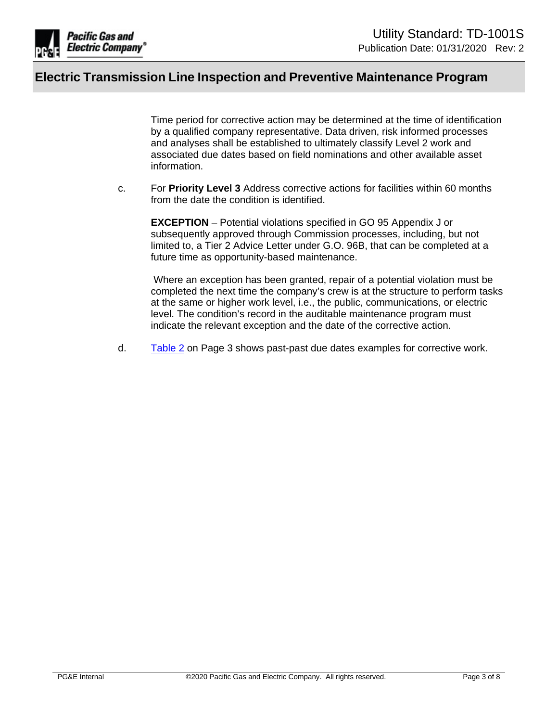

Time period for corrective action may be determined at the time of identification by a qualified company representative. Data driven, risk informed processes and analyses shall be established to ultimately classify Level 2 work and associated due dates based on field nominations and other available asset information.

c. For **Priority Level 3** Address corrective actions for facilities within 60 months from the date the condition is identified.

**EXCEPTION** – Potential violations specified in GO 95 Appendix J or subsequently approved through Commission processes, including, but not limited to, a Tier 2 Advice Letter under G.O. 96B, that can be completed at a future time as opportunity-based maintenance.

 Where an exception has been granted, repair of a potential violation must be completed the next time the company's crew is at the structure to perform tasks at the same or higher work level, i.e., the public, communications, or electric level. The condition's record in the auditable maintenance program must indicate the relevant exception and the date of the corrective action.

d. [Table 2](#page-3-2) on Page 3 shows past-past due dates examples for corrective work.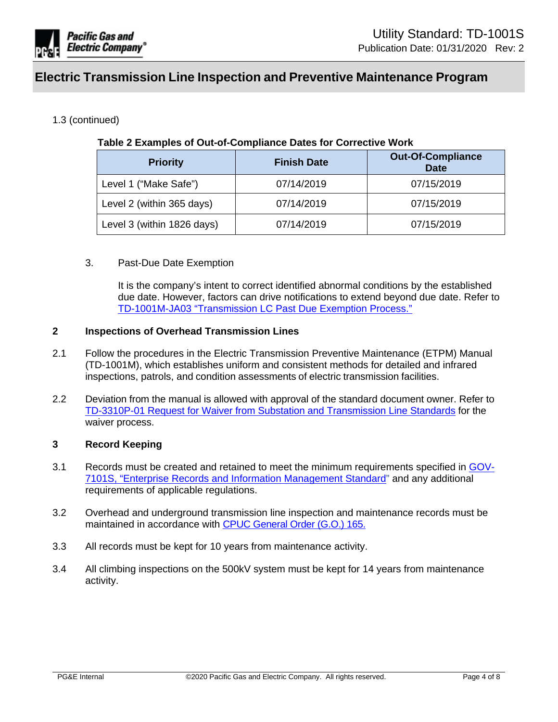

## 1.3 (continued)

## <span id="page-3-2"></span>**Table 2 Examples of Out-of-Compliance Dates for Corrective Work**

| <b>Priority</b>            | <b>Finish Date</b> | <b>Out-Of-Compliance</b><br><b>Date</b> |
|----------------------------|--------------------|-----------------------------------------|
| Level 1 ("Make Safe")      | 07/14/2019         | 07/15/2019                              |
| Level 2 (within 365 days)  | 07/14/2019         | 07/15/2019                              |
| Level 3 (within 1826 days) | 07/14/2019         | 07/15/2019                              |

## 3. Past-Due Date Exemption

It is the company's intent to correct identified abnormal conditions by the established due date. However, factors can drive notifications to extend beyond due date. Refer to [TD-1001M-JA03 "Transmission LC Past Due Exemption Process."](https://ecmappwlsp01c2.comp.pge.com/TILVIEWER?chronicleId=09131aad87322334&vd=false&device=false)

## <span id="page-3-0"></span>**2 Inspections of Overhead Transmission Lines**

- 2.1 Follow the procedures in the [Electric Transmission Preventive Maintenance \(ETPM\) Manual](https://edrm.comp.pge.com/D2/?docbase=pge_ecm&commandEvent=D2_ACTION_OPEN_VD&locateDql=pge_document(all)%20where%20i_chronicle_id%20=)  [\(TD-1001M\),](https://edrm.comp.pge.com/D2/?docbase=pge_ecm&commandEvent=D2_ACTION_OPEN_VD&locateDql=pge_document(all)%20where%20i_chronicle_id%20=) which establishes uniform and consistent methods for detailed and infrared inspections, patrols, and condition assessments of electric transmission facilities.
- 2.2 Deviation from the manual is allowed with approval of the standard document owner. Refer to [TD-3310P-01 Request for Waiver from Substation and Transmission Line Standards](https://ecmappwlsp01c2.comp.pge.com/TILVIEWER?chronicleId=09131aad80e05d70&vd=true&device=false) for the waiver process.

## <span id="page-3-1"></span>**3 Record Keeping**

- 3.1 Records must be created and retained to meet the minimum requirements specified in [GOV-](http://pgeweb.utility.pge.com/electric/am/crm/records/engdwgs/Documents/GOV-7101S.pdf#search=GOV-7101S)[7101S, "Enterprise Records and Information Management Standard"](http://pgeweb.utility.pge.com/electric/am/crm/records/engdwgs/Documents/GOV-7101S.pdf#search=GOV-7101S) and any additional requirements of applicable regulations.
- 3.2 Overhead and underground transmission line inspection and maintenance records must be maintained in accordance with [CPUC General Order \(G.O.\) 165](http://docs.cpuc.ca.gov/PUBLISHED/GENERAL_ORDER/159182.htm).
- 3.3 All records must be kept for 10 years from maintenance activity.
- 3.4 All climbing inspections on the 500kV system must be kept for 14 years from maintenance activity.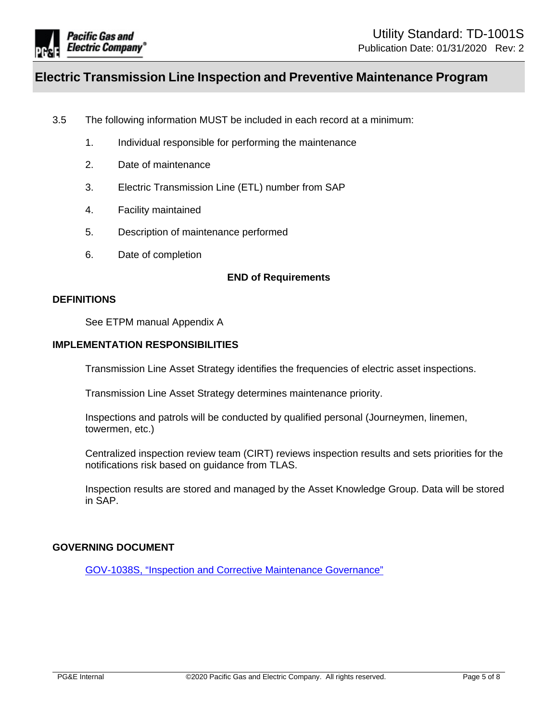

- 3.5 The following information MUST be included in each record at a minimum:
	- 1. Individual responsible for performing the maintenance
	- 2. Date of maintenance
	- 3. Electric Transmission Line (ETL) number from SAP
	- 4. Facility maintained
	- 5. Description of maintenance performed
	- 6. Date of completion

## **END of Requirements**

#### **DEFINITIONS**

See ETPM manual Appendix A

## **IMPLEMENTATION RESPONSIBILITIES**

Transmission Line Asset Strategy identifies the frequencies of electric asset inspections.

Transmission Line Asset Strategy determines maintenance priority.

Inspections and patrols will be conducted by qualified personal (Journeymen, linemen, towermen, etc.)

Centralized inspection review team (CIRT) reviews inspection results and sets priorities for the notifications risk based on guidance from TLAS.

Inspection results are stored and managed by the Asset Knowledge Group. Data will be stored in SAP.

## **GOVERNING DOCUMENT**

[GOV-1038S, "Inspection and Corrective Maintenance Governance"](https://edrm.comp.pge.com/D2/servlet/Download?auth=basic&event_name=open&version=PUBLISHED&id=09131aad8b7153c0&format=pdf&_docbase=pge_ecm)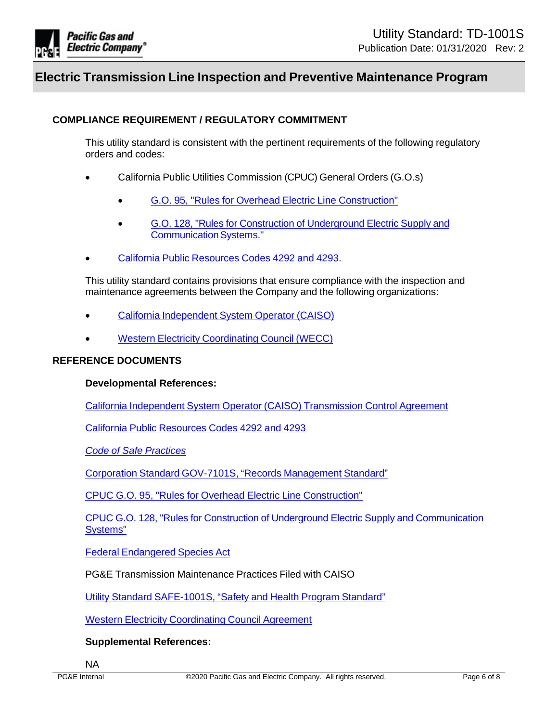

## **COMPLIANCE REQUIREMENT / REGULATORY COMMITMENT**

This utility standard is consistent with the pertinent requirements of the following regulatory orders and codes:

- California Public Utilities Commission (CPUC) General Orders (G.O.s)
	- [G.O. 95, "Rules for Overhead Electric Line Construction"](http://docs.cpuc.ca.gov/published/Graphics/13352.PDF)
	- [G.O. 128, "Rules for Construction of Underground Electric Supply and](http://docs.cpuc.ca.gov/published/Graphics/587.PDF) [Communication Systems."](http://docs.cpuc.ca.gov/published/Graphics/587.PDF)
- [California Public Resources Codes 4292 and 4293.](https://govt.westlaw.com/calregs/Browse/Home/California/CaliforniaCodeofRegulations?guid=I8B81FDD0D48311DEBC02831C6D6C108E&originationContext=documenttoc&transitionType=Default&contextData=(sc.Default))

This utility standard contains provisions that ensure compliance with the inspection and maintenance agreements between the Company and the following organizations:

- [California Independent System Operator \(CAISO\)](http://www.caiso.com/Pages/default.aspx)
- [Western Electricity Coordinating Council \(WECC\)](http://www.weccusa.org/)

## **REFERENCE DOCUMENTS**

## **Developmental References:**

[California Independent System Operator \(CAISO\) Transmission Control Agreement](http://www.caiso.com/Documents/TransmissionControlAgreement.pdf)

[California Public Resources Codes 4292 and 4293](https://govt.westlaw.com/calregs/Browse/Home/California/CaliforniaCodeofRegulations?guid=I8B81FDD0D48311DEBC02831C6D6C108E&originationContext=documenttoc&transitionType=Default&contextData=(sc.Default))

*[Code of Safe Practices](http://pgeweb/sharedservices/safety/Pages/default.aspx)*

[Corporation Standard GOV-7101S, "Records Management Standard"](http://wwwedm/cgi-bin/getdoctdm.asp?itemid=005600807)

[CPUC G.O. 95, "Rules for Overhead Electric Line Construction"](http://docs.cpuc.ca.gov/published/Graphics/13352.PDF)

[CPUC G.O. 128, "Rules for Construction of Underground Electric Supply and Communication](http://docs.cpuc.ca.gov/published/Graphics/587.PDF) [Systems"](http://docs.cpuc.ca.gov/published/Graphics/587.PDF)

[Federal Endangered Species Act](http://www.fws.gov/endangered/laws-policies/index.html)

PG&E Transmission Maintenance Practices Filed with CAISO

[Utility Standard SAFE-1001S, "Safety and Health Program Standard"](http://wwwedm/cgi-bin/getdoctdm.asp?itemid=005608094)

[Western Electricity Coordinating Council Agreement](http://www.weccusa.org/)

## **Supplemental References:**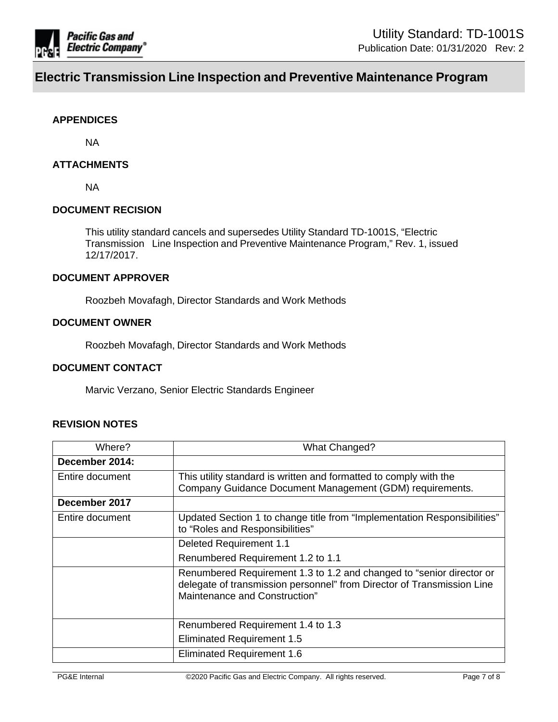

## **APPENDICES**

NA

## **ATTACHMENTS**

NA

#### **DOCUMENT RECISION**

This utility standard cancels and supersedes Utility Standard TD-1001S, "Electric Transmission Line Inspection and Preventive Maintenance Program," Rev. 1, issued 12/17/2017.

## **DOCUMENT APPROVER**

Roozbeh Movafagh, Director Standards and Work Methods

## **DOCUMENT OWNER**

Roozbeh Movafagh, Director Standards and Work Methods

## **DOCUMENT CONTACT**

Marvic Verzano, Senior Electric Standards Engineer

#### **REVISION NOTES**

| Where?          | <b>What Changed?</b>                                                                                                                                                            |  |
|-----------------|---------------------------------------------------------------------------------------------------------------------------------------------------------------------------------|--|
| December 2014:  |                                                                                                                                                                                 |  |
| Entire document | This utility standard is written and formatted to comply with the<br>Company Guidance Document Management (GDM) requirements.                                                   |  |
| December 2017   |                                                                                                                                                                                 |  |
| Entire document | Updated Section 1 to change title from "Implementation Responsibilities"<br>to "Roles and Responsibilities"                                                                     |  |
|                 | Deleted Requirement 1.1                                                                                                                                                         |  |
|                 | Renumbered Requirement 1.2 to 1.1                                                                                                                                               |  |
|                 | Renumbered Requirement 1.3 to 1.2 and changed to "senior director or<br>delegate of transmission personnel" from Director of Transmission Line<br>Maintenance and Construction" |  |
|                 | Renumbered Requirement 1.4 to 1.3                                                                                                                                               |  |
|                 | <b>Eliminated Requirement 1.5</b>                                                                                                                                               |  |
|                 | <b>Eliminated Requirement 1.6</b>                                                                                                                                               |  |